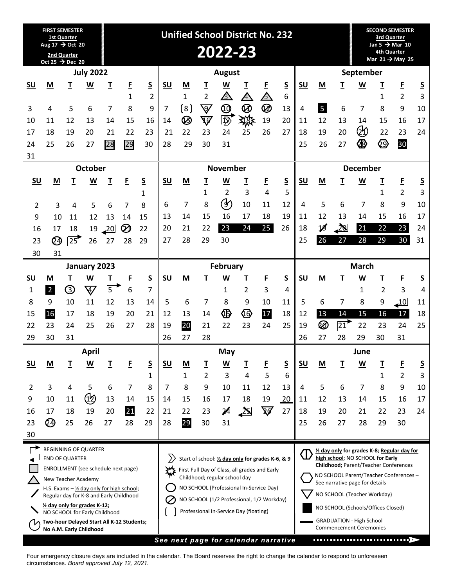| <b>FIRST SEMESTER</b><br><b>1st Quarter</b><br>Aug 17 → Oct 20                                                                                         |                             |                  |                                     |          | <b>Unified School District No. 232</b> |                                           |                                        |                                                             |                               |                               |                                |                             |                             |                                                                   |                                                                                                              |                                                                                 |                          | <b>SECOND SEMESTER</b><br>3rd Quarter<br>Jan 5 $\rightarrow$ Mar 10<br>4th Quarter |                |               |  |
|--------------------------------------------------------------------------------------------------------------------------------------------------------|-----------------------------|------------------|-------------------------------------|----------|----------------------------------------|-------------------------------------------|----------------------------------------|-------------------------------------------------------------|-------------------------------|-------------------------------|--------------------------------|-----------------------------|-----------------------------|-------------------------------------------------------------------|--------------------------------------------------------------------------------------------------------------|---------------------------------------------------------------------------------|--------------------------|------------------------------------------------------------------------------------|----------------|---------------|--|
| 2nd Quarter<br>Oct 25 $\rightarrow$ Dec 20                                                                                                             |                             |                  |                                     |          |                                        | 2022-23                                   |                                        |                                                             |                               |                               |                                |                             | Mar $21 \rightarrow$ May 25 |                                                                   |                                                                                                              |                                                                                 |                          |                                                                                    |                |               |  |
|                                                                                                                                                        | <b>July 2022</b>            |                  |                                     |          |                                        | <b>August</b>                             |                                        |                                                             |                               |                               |                                |                             | September                   |                                                                   |                                                                                                              |                                                                                 |                          |                                                                                    |                |               |  |
| SU                                                                                                                                                     | M                           | I                | $\underline{\mathsf{W}}$            | I        | E                                      | <u>s</u>                                  | SU                                     | M                                                           | <u>T</u>                      | $\underline{\mathsf{W}}$      | I                              | E                           | $\overline{\mathsf{S}}$     | <u>SU</u>                                                         | M                                                                                                            | I                                                                               | W                        | I                                                                                  | E              | <u>s</u>      |  |
|                                                                                                                                                        |                             |                  |                                     |          | $\mathbf{1}$                           | $\overline{2}$                            |                                        | $\mathbf{1}$                                                | $\overline{2}$                | $\bigtriangleup$              | 4                              | A                           | 6                           |                                                                   |                                                                                                              |                                                                                 |                          | 1                                                                                  | $\overline{2}$ | 3             |  |
| 3                                                                                                                                                      | 4                           | 5<br>12          | 6                                   | 7        | 8                                      | 9<br>16                                   | 7                                      | [8]<br>$\circledR$                                          | $\bigtriangledown$            | $\bm{\mathbb{O}}$<br>匢        | Ø                              | Ø<br>19                     | 13                          | 4                                                                 | 5<br>12                                                                                                      | 6<br>13                                                                         | 7                        | 8<br>15                                                                            | 9              | 10<br>17      |  |
| 10<br>17                                                                                                                                               | 11<br>18                    | 19               | 13<br>20                            | 14<br>21 | 15<br>22                               | 23                                        | 14<br>21                               | 22                                                          | $\overline{\mathbb{V}}$<br>23 | 24                            | 燚<br>25                        | 26                          | 20<br>27                    | 11<br>18                                                          | 19                                                                                                           | 20                                                                              | 14<br>纱                  | 22                                                                                 | 16<br>23       | 24            |  |
| 24                                                                                                                                                     | 25                          | 26               | 27                                  | 28       | 29                                     | 30                                        | 28                                     | 29                                                          | 30                            | 31                            |                                |                             |                             | 25                                                                | 26                                                                                                           | 27                                                                              | ☎                        | ଷ                                                                                  | 30             |               |  |
| 31                                                                                                                                                     |                             |                  |                                     |          |                                        |                                           |                                        |                                                             |                               |                               |                                |                             |                             |                                                                   |                                                                                                              |                                                                                 |                          |                                                                                    |                |               |  |
| October                                                                                                                                                |                             |                  |                                     |          |                                        |                                           | <b>November</b>                        |                                                             |                               |                               |                                |                             |                             | <b>December</b>                                                   |                                                                                                              |                                                                                 |                          |                                                                                    |                |               |  |
| SU                                                                                                                                                     | M                           | Т                | $\underline{\mathsf{W}}$            | I        | E                                      | $\underline{\mathsf{S}}$                  | SU                                     | M                                                           | I                             | $\underline{\mathsf{W}}$      | I                              | E                           | $\underline{\mathsf{S}}$    | SU                                                                | M                                                                                                            | I                                                                               | $\underline{\mathsf{w}}$ | I                                                                                  | E              | <u>S</u>      |  |
|                                                                                                                                                        |                             |                  |                                     |          |                                        | 1                                         |                                        |                                                             | $\mathbf{1}$                  | $\overline{2}$                | 3                              | 4                           | 5                           |                                                                   |                                                                                                              |                                                                                 |                          | 1                                                                                  | $\overline{2}$ | 3             |  |
| 2                                                                                                                                                      | 3                           | 4                | 5                                   | 6        | 7                                      | 8                                         | 6                                      | 7                                                           | 8                             | ග                             | 10                             | 11                          | 12                          | 4                                                                 | 5                                                                                                            | 6                                                                               | 7                        | 8                                                                                  | 9              | 10            |  |
| 9                                                                                                                                                      | 10                          | 11               | 12                                  | 13       | 14                                     | 15                                        | 13                                     | 14                                                          | 15                            | 16                            | 17                             | 18                          | 19                          | 11                                                                | 12                                                                                                           | 13                                                                              | 14                       | 15                                                                                 | 16             | 17            |  |
| 16                                                                                                                                                     | 17                          | 18               | 19                                  | 20       | Ø                                      | 22                                        | 20                                     | 21                                                          | 22                            | 23                            | 24                             | 25                          | 26                          | 18                                                                | 18                                                                                                           | $\mathbf{20}$                                                                   | 21                       | 22                                                                                 | 23             | 24            |  |
| 23                                                                                                                                                     | Q                           | $\overline{25}$  | 26                                  | 27       | 28                                     | 29                                        | 27                                     | 28                                                          | 29                            | 30                            |                                |                             |                             | 25                                                                | 26                                                                                                           | 27                                                                              | 28                       | 29                                                                                 | 30             | 31            |  |
| 31<br>30                                                                                                                                               |                             |                  |                                     |          |                                        |                                           |                                        |                                                             |                               |                               |                                |                             |                             |                                                                   |                                                                                                              |                                                                                 |                          |                                                                                    |                |               |  |
|                                                                                                                                                        | January 2023                |                  |                                     |          |                                        |                                           | February                               |                                                             |                               |                               |                                |                             |                             | <b>March</b>                                                      |                                                                                                              |                                                                                 |                          |                                                                                    |                |               |  |
| $\underline{\mathsf{SU}}$<br>$\mathbf{1}$                                                                                                              | M<br>$\overline{2}$         | I<br>$\circledS$ | <u>W</u><br>$\overline{\mathbb{V}}$ | I<br>5   | E<br>6                                 | $\overline{\mathsf{S}}$<br>$\overline{7}$ | SU                                     | M                                                           | I                             | $\underline{\mathsf{W}}$<br>1 | <u>T</u><br>$\overline{2}$     | E<br>3                      | <u>s</u><br>4               | <u>SU</u>                                                         | M                                                                                                            | I                                                                               | <u>W</u><br>1            | I<br>$\overline{2}$                                                                | E<br>3         | <u>S</u><br>4 |  |
| 8                                                                                                                                                      | 9                           | 10               | 11                                  | 12       | 13                                     | 14                                        | 5                                      | 6                                                           | 7                             | 8                             | 9                              | 10                          | 11                          | 5                                                                 | 6                                                                                                            | 7                                                                               | 8                        | 9                                                                                  | <u> 10</u>     | 11            |  |
| 15                                                                                                                                                     | 16                          | 17               | 18                                  | 19       | 20                                     | 21                                        | 12                                     | 13                                                          | 14                            |                               | ଏତ                             | 17                          | 18                          | 12                                                                | 13                                                                                                           | 14                                                                              | 15                       | 16                                                                                 | 17             | 18            |  |
| 22                                                                                                                                                     | 23                          | 24               | 25                                  | 26       | 27                                     | 28                                        | 19                                     | 20                                                          | 21                            | 22                            | 23                             | 24                          | 25                          | 19                                                                | Ø                                                                                                            | $\overline{21}$                                                                 | 22                       | 23                                                                                 | 24             | 25            |  |
| 29                                                                                                                                                     | 30                          | 31               |                                     |          |                                        |                                           | 26                                     | 27                                                          | 28                            |                               |                                |                             |                             | 26                                                                | 27                                                                                                           | 28                                                                              | 29                       | 30                                                                                 | 31             |               |  |
| Anril                                                                                                                                                  |                             |                  |                                     |          |                                        | May                                       |                                        |                                                             |                               |                               |                                |                             | June                        |                                                                   |                                                                                                              |                                                                                 |                          |                                                                                    |                |               |  |
| $SU$                                                                                                                                                   | M                           | Τ                | <u>w</u>                            | I        | E                                      | <u>S</u>                                  | <u>SU</u>                              | $\underline{\mathsf{M}}$                                    | <u>T</u>                      | <u>W</u>                      | I                              | E                           | $\underline{\mathsf{S}}$    | $SU$                                                              | $\underline{\mathsf{M}}$                                                                                     | I                                                                               | $\underline{\mathsf{w}}$ | <u>T</u>                                                                           | E              | <u>s</u>      |  |
|                                                                                                                                                        |                             |                  |                                     |          |                                        | 1                                         |                                        | 1                                                           | 2                             | 3                             | 4                              | 5                           | 6                           |                                                                   |                                                                                                              |                                                                                 |                          | 1                                                                                  | $\overline{2}$ | 3             |  |
| 2                                                                                                                                                      | 3                           | 4                | 5                                   | 6        | 7                                      | 8                                         | 7                                      | 8                                                           | 9                             | 10                            | 11                             | 12                          | 13                          | 4                                                                 | 5                                                                                                            | 6                                                                               | $\overline{7}$           | 8                                                                                  | 9              | 10            |  |
| 9                                                                                                                                                      | 10                          | 11               | (15)                                | 13       | 14                                     | 15                                        | 14                                     | 15                                                          | 16                            | 17                            | 18                             | 19                          | <u>20</u>                   | 11                                                                | 12                                                                                                           | 13                                                                              | 14                       | 15                                                                                 | 16             | 17            |  |
| 16                                                                                                                                                     | 17                          | 18               | 19                                  | 20       | 21                                     | 22                                        | 21                                     | 22                                                          | 23                            | $\boldsymbol{\mathcal{A}}$    | $\mathbf{z}$                   | ষ্ট                         | 27                          | 18                                                                | 19                                                                                                           | 20                                                                              | 21                       | 22                                                                                 | 23             | 24            |  |
| 23<br>30                                                                                                                                               | QÐ                          | 25               | 26                                  | 27       | 28                                     | 29                                        | 28                                     | 29                                                          | 30                            | 31                            |                                |                             |                             | 25                                                                | 26                                                                                                           | 27                                                                              | 28                       | 29                                                                                 | 30             |               |  |
|                                                                                                                                                        | <b>BEGINNING OF QUARTER</b> |                  |                                     |          |                                        |                                           |                                        |                                                             |                               |                               |                                |                             |                             |                                                                   |                                                                                                              |                                                                                 |                          |                                                                                    |                |               |  |
| <b>END OF QUARTER</b>                                                                                                                                  |                             |                  |                                     |          |                                        |                                           |                                        | $\sum$<br>Start of school: 1/2 day only for grades K-6, & 9 |                               |                               |                                |                             |                             |                                                                   | 1/2 day only for grades K-8; Regular day for<br>$\langle \Gamma \rangle$<br>high school; NO SCHOOL for Early |                                                                                 |                          |                                                                                    |                |               |  |
| ENROLLMENT (see schedule next page)                                                                                                                    |                             |                  |                                     |          |                                        |                                           |                                        | 淼<br>First Full Day of Class, all grades and Early          |                               |                               |                                |                             |                             |                                                                   |                                                                                                              | Childhood; Parent/Teacher Conferences<br>NO SCHOOL Parent/Teacher Conferences - |                          |                                                                                    |                |               |  |
| Childhood; regular school day<br>New Teacher Academy<br>NO SCHOOL (Professional In-Service Day)<br>H.S. Exams $-\frac{1}{2}$ day only for high school; |                             |                  |                                     |          |                                        |                                           |                                        |                                                             |                               |                               | See narrative page for details |                             |                             |                                                                   |                                                                                                              |                                                                                 |                          |                                                                                    |                |               |  |
| Regular day for K-8 and Early Childhood<br>NO SCHOOL (1/2 Professional, 1/2 Workday)                                                                   |                             |                  |                                     |          |                                        |                                           |                                        |                                                             |                               |                               |                                | NO SCHOOL (Teacher Workday) |                             |                                                                   |                                                                                                              |                                                                                 |                          |                                                                                    |                |               |  |
| 1/2 day only for grades K-12;<br>NO SCHOOL for Early Childhood                                                                                         |                             |                  |                                     |          |                                        |                                           | Professional In-Service Day (floating) |                                                             |                               |                               |                                |                             |                             |                                                                   | NO SCHOOL (Schools/Offices Closed)                                                                           |                                                                                 |                          |                                                                                    |                |               |  |
| Two-hour Delayed Start All K-12 Students;<br>No A.M. Early Childhood                                                                                   |                             |                  |                                     |          |                                        |                                           |                                        |                                                             |                               |                               |                                |                             |                             | <b>GRADUATION - High School</b><br><b>Commencement Ceremonies</b> |                                                                                                              |                                                                                 |                          |                                                                                    |                |               |  |
|                                                                                                                                                        |                             |                  |                                     |          |                                        |                                           |                                        | See next page for calendar narrative                        |                               |                               |                                |                             |                             |                                                                   |                                                                                                              |                                                                                 |                          |                                                                                    |                |               |  |

Four emergency closure days are included in the calendar. The Board reserves the right to change the calendar to respond to unforeseen circumstances. *Board approved July 12, 2021.*